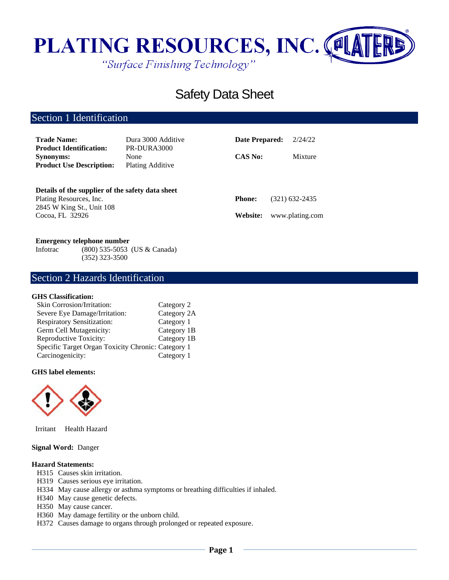

# Safety Data Sheet

# Section 1 Identification

| <b>Trade Name:</b><br><b>Product Identification:</b>                                                     | Dura 3000 Additive<br>PR-DURA3000 | Date Prepared: | 2/24/22         |
|----------------------------------------------------------------------------------------------------------|-----------------------------------|----------------|-----------------|
| <b>Synonyms:</b><br><b>Product Use Description:</b>                                                      | None<br><b>Plating Additive</b>   | <b>CAS No:</b> | Mixture         |
| Details of the supplier of the safety data sheet<br>Plating Resources, Inc.<br>2845 W King St., Unit 108 |                                   | <b>Phone:</b>  | (321) 632-2435  |
| Cocoa, FL 32926                                                                                          |                                   | Website:       | www.plating.com |

#### **Emergency telephone number**

Infotrac (800) 535-5053 (US & Canada) (352) 323-3500

# Section 2 Hazards Identification

### **GHS Classification:**

| Category 2                                         |
|----------------------------------------------------|
| Category 2A                                        |
| Category 1                                         |
| Category 1B                                        |
| Category 1B                                        |
| Specific Target Organ Toxicity Chronic: Category 1 |
| Category 1                                         |
|                                                    |

#### **GHS label elements:**



Irritant Health Hazard

# **Signal Word:** Danger

### **Hazard Statements:**

- H315 Causes skin irritation.
- H319 Causes serious eye irritation.
- H334 May cause allergy or asthma symptoms or breathing difficulties if inhaled.
- H340 May cause genetic defects.
- H350 May cause cancer.
- H360 May damage fertility or the unborn child.
- H372 Causes damage to organs through prolonged or repeated exposure.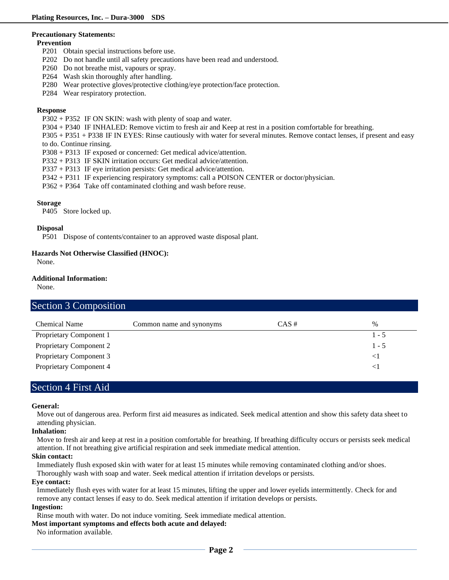#### **Precautionary Statements:**

#### **Prevention**

- P201 Obtain special instructions before use.
- P202 Do not handle until all safety precautions have been read and understood.
- P260 Do not breathe mist, vapours or spray.
- P264 Wash skin thoroughly after handling.
- P280 Wear protective gloves/protective clothing/eye protection/face protection.
- P284 Wear respiratory protection.

#### **Response**

- P302 + P352 IF ON SKIN: wash with plenty of soap and water.
- P304 + P340 IF INHALED: Remove victim to fresh air and Keep at rest in a position comfortable for breathing.

P305 + P351 + P338 IF IN EYES: Rinse cautiously with water for several minutes. Remove contact lenses, if present and easy to do. Continue rinsing.

- P308 + P313 IF exposed or concerned: Get medical advice/attention.
- P332 + P313 IF SKIN irritation occurs: Get medical advice/attention.
- P337 + P313 IF eye irritation persists: Get medical advice/attention.
- P342 + P311 IF experiencing respiratory symptoms: call a POISON CENTER or doctor/physician.
- P362 + P364 Take off contaminated clothing and wash before reuse.

#### **Storage**

P405 Store locked up.

#### **Disposal**

P501 Dispose of contents/container to an approved waste disposal plant.

#### **Hazards Not Otherwise Classified (HNOC):**

None.

### **Additional Information:**

None.

# Section 3 Composition

| <b>Chemical Name</b>           | Common name and synonyms | $CAS \#$ | $\frac{0}{0}$ |
|--------------------------------|--------------------------|----------|---------------|
| Proprietary Component 1        |                          |          | $1 - 5$       |
| Proprietary Component 2        |                          |          | $1 - 5$       |
| <b>Proprietary Component 3</b> |                          |          |               |
| Proprietary Component 4        |                          |          |               |

# Section 4 First Aid

#### **General:**

Move out of dangerous area. Perform first aid measures as indicated. Seek medical attention and show this safety data sheet to attending physician.

### **Inhalation:**

Move to fresh air and keep at rest in a position comfortable for breathing. If breathing difficulty occurs or persists seek medical attention. If not breathing give artificial respiration and seek immediate medical attention.

#### **Skin contact:**

Immediately flush exposed skin with water for at least 15 minutes while removing contaminated clothing and/or shoes.

Thoroughly wash with soap and water. Seek medical attention if irritation develops or persists.

### **Eye contact:**

Immediately flush eyes with water for at least 15 minutes, lifting the upper and lower eyelids intermittently. Check for and remove any contact lenses if easy to do. Seek medical attention if irritation develops or persists.

### **Ingestion:**

Rinse mouth with water. Do not induce vomiting. Seek immediate medical attention.

### **Most important symptoms and effects both acute and delayed:**

No information available.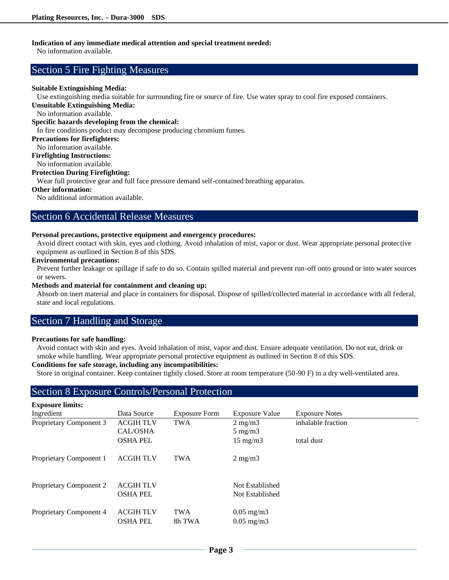### **Indication of any immediate medical attention and special treatment needed:**

No information available.

# Section 5 Fire Fighting Measures

#### **Suitable Extinguishing Media:**

Use extinguishing media suitable for surrounding fire or source of fire. Use water spray to cool fire exposed containers.

**Unsuitable Extinguishing Media:**

No information available.

**Specific hazards developing from the chemical:**

In fire conditions product may decompose producing chromium fumes.

### **Precautions for firefighters:**

No information available.

**Firefighting Instructions:**

No information available.

### **Protection During Firefighting:**

Wear full protective gear and full face pressure demand self-contained breathing apparatus.

### **Other information:**

No additional information available.

# Section 6 Accidental Release Measures

#### **Personal precautions, protective equipment and emergency procedures:**

Avoid direct contact with skin, eyes and clothing. Avoid inhalation of mist, vapor or dust. Wear appropriate personal protective equipment as outlined in Section 8 of this SDS.

#### **Environmental precautions:**

Prevent further leakage or spillage if safe to do so. Contain spilled material and prevent run-off onto ground or into water sources or sewers.

#### **Methods and material for containment and cleaning up:**

Absorb on inert material and place in containers for disposal. Dispose of spilled/collected material in accordance with all federal, state and local regulations.

# Section 7 Handling and Storage

#### **Precautions for safe handling:**

Avoid contact with skin and eyes. Avoid inhalation of mist, vapor and dust. Ensure adequate ventilation. Do not eat, drink or smoke while handling. Wear appropriate personal protective equipment as outlined in Section 8 of this SDS.

#### **Conditions for safe storage, including any incompatibilities:**

Store in original container. Keep container tightly closed. Store at room temperature (50-90 F) in a dry well-ventilated area.

# Section 8 Exposure Controls/Personal Protection

| <b>Exposure limits:</b> |                                     |                      |                                                |                       |
|-------------------------|-------------------------------------|----------------------|------------------------------------------------|-----------------------|
| Ingredient              | Data Source                         | <b>Exposure Form</b> | <b>Exposure Value</b>                          | <b>Exposure Notes</b> |
| Proprietary Component 3 | <b>ACGIH TLV</b>                    | <b>TWA</b>           | $2 \text{ mg/m}$                               | inhalable fraction    |
|                         | CAL/OSHA                            |                      | $5 \text{ mg/m}$                               |                       |
|                         | <b>OSHA PEL</b>                     |                      | $15 \text{ mg/m}$                              | total dust            |
| Proprietary Component 1 | <b>ACGIH TLV</b>                    | <b>TWA</b>           | $2 \text{ mg/m}$                               |                       |
| Proprietary Component 2 | <b>ACGIH TLV</b><br><b>OSHA PEL</b> |                      | Not Established<br>Not Established             |                       |
| Proprietary Component 4 | <b>ACGIH TLV</b><br><b>OSHA PEL</b> | <b>TWA</b><br>8h TWA | $0.05 \text{ mg/m}$ 3<br>$0.05 \text{ mg/m}$ 3 |                       |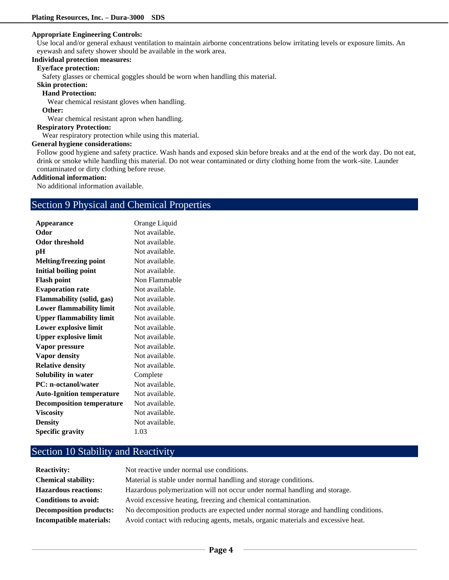#### **Appropriate Engineering Controls:**

Use local and/or general exhaust ventilation to maintain airborne concentrations below irritating levels or exposure limits. An eyewash and safety shower should be available in the work area.

# **Individual protection measures:**

# **Eye/face protection:**

Safety glasses or chemical goggles should be worn when handling this material.

**Skin protection:** 

### **Hand Protection:**

Wear chemical resistant gloves when handling.

#### **Other:**

Wear chemical resistant apron when handling.

#### **Respiratory Protection:**

Wear respiratory protection while using this material.

#### **General hygiene considerations:**

Follow good hygiene and safety practice. Wash hands and exposed skin before breaks and at the end of the work day. Do not eat, drink or smoke while handling this material. Do not wear contaminated or dirty clothing home from the work-site. Launder contaminated or dirty clothing before reuse.

#### **Additional information:**

No additional information available.

# Section 9 Physical and Chemical Properties

| Orange Liquid  |
|----------------|
| Not available. |
| Not available. |
| Not available. |
| Not available. |
| Not available. |
| Non Flammable  |
| Not available. |
| Not available. |
| Not available. |
| Not available. |
| Not available. |
| Not available. |
| Not available. |
| Not available. |
| Not available. |
| Complete       |
| Not available. |
| Not available. |
| Not available. |
| Not available. |
| Not available. |
| 1.03           |
|                |

# Section 10 Stability and Reactivity

| <b>Reactivity:</b>             | Not reactive under normal use conditions.                                            |
|--------------------------------|--------------------------------------------------------------------------------------|
| <b>Chemical stability:</b>     | Material is stable under normal handling and storage conditions.                     |
| <b>Hazardous reactions:</b>    | Hazardous polymerization will not occur under normal handling and storage.           |
| <b>Conditions to avoid:</b>    | Avoid excessive heating, freezing and chemical contamination.                        |
| <b>Decomposition products:</b> | No decomposition products are expected under normal storage and handling conditions. |
| Incompatible materials:        | Avoid contact with reducing agents, metals, organic materials and excessive heat.    |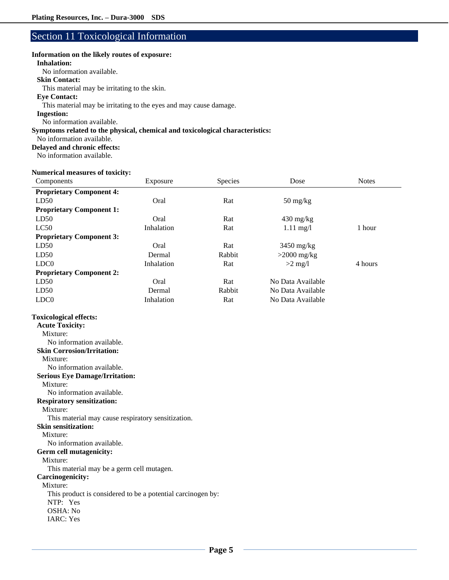# Section 11 Toxicological Information

#### **Information on the likely routes of exposure:**

#### **Inhalation:**

No information available.

#### **Skin Contact:**

This material may be irritating to the skin.

# **Eye Contact:**

This material may be irritating to the eyes and may cause damage.

# **Ingestion:**

No information available.

### **Symptoms related to the physical, chemical and toxicological characteristics:**

No information available.

### **Delayed and chronic effects:**

No information available.

#### **Numerical measures of toxicity:**

| Components                      | Exposure   | Species | Dose                             | <b>Notes</b> |
|---------------------------------|------------|---------|----------------------------------|--------------|
| <b>Proprietary Component 4:</b> |            |         |                                  |              |
| LD50                            | Oral       | Rat     | $50 \frac{\text{mg}}{\text{kg}}$ |              |
| <b>Proprietary Component 1:</b> |            |         |                                  |              |
| LD50                            | Oral       | Rat     | $430 \text{ mg/kg}$              |              |
| LC50                            | Inhalation | Rat     | $1.11 \text{ mg}/1$              | 1 hour       |
| <b>Proprietary Component 3:</b> |            |         |                                  |              |
| LD50                            | Oral       | Rat     | $3450$ mg/kg                     |              |
| LD50                            | Dermal     | Rabbit  | $>2000$ mg/kg                    |              |
| LDC <sub>0</sub>                | Inhalation | Rat     | $>2$ mg/l                        | 4 hours      |
| <b>Proprietary Component 2:</b> |            |         |                                  |              |
| LD50                            | Oral       | Rat     | No Data Available                |              |
| LD50                            | Dermal     | Rabbit  | No Data Available                |              |
| LDC <sub>0</sub>                | Inhalation | Rat     | No Data Available                |              |

### **Toxicological effects:**

| <b>Acute Toxicity:</b>                                      |
|-------------------------------------------------------------|
| Mixture:                                                    |
| No information available.                                   |
| <b>Skin Corrosion/Irritation:</b>                           |
| Mixture:                                                    |
| No information available.                                   |
| <b>Serious Eye Damage/Irritation:</b>                       |
| Mixture:                                                    |
| No information available.                                   |
| <b>Respiratory sensitization:</b>                           |
| Mixture:                                                    |
| This material may cause respiratory sensitization.          |
| <b>Skin sensitization:</b>                                  |
| Mixture:                                                    |
| No information available.                                   |
| Germ cell mutagenicity:                                     |
| Mixture:                                                    |
| This material may be a germ cell mutagen.                   |
| Carcinogenicity:                                            |
| Mixture:                                                    |
| This product is considered to be a potential carcinogen by: |
| NTP: Yes                                                    |
| OSHA: No                                                    |
| <b>IARC</b> : Yes                                           |
|                                                             |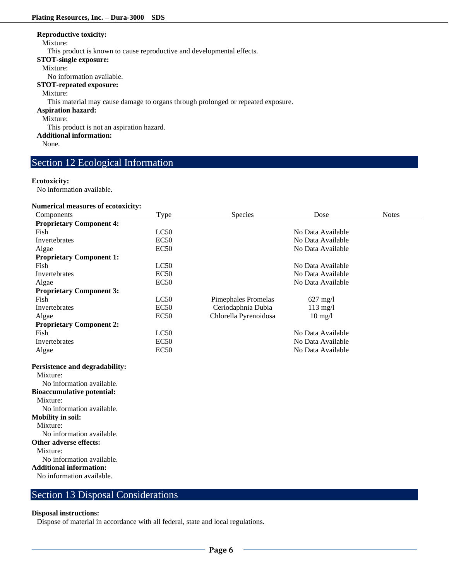#### **Reproductive toxicity:**

#### Mixture:

This product is known to cause reproductive and developmental effects.

**STOT-single exposure:**

#### Mixture:

No information available.

**STOT-repeated exposure:**

#### Mixture:

This material may cause damage to organs through prolonged or repeated exposure.

# **Aspiration hazard:**

Mixture:

This product is not an aspiration hazard.

**Additional information:**

None.

# Section 12 Ecological Information

#### **Ecotoxicity:**

No information available.

#### **Numerical measures of ecotoxicity:**

| Components                        | Type        | Species                    | Dose               | <b>Notes</b> |
|-----------------------------------|-------------|----------------------------|--------------------|--------------|
| <b>Proprietary Component 4:</b>   |             |                            |                    |              |
| Fish                              | LC50        |                            | No Data Available  |              |
| Invertebrates                     | <b>EC50</b> |                            | No Data Available  |              |
| Algae                             | EC50        |                            | No Data Available  |              |
| <b>Proprietary Component 1:</b>   |             |                            |                    |              |
| Fish                              | LC50        |                            | No Data Available  |              |
| Invertebrates                     | <b>EC50</b> |                            | No Data Available  |              |
| Algae                             | <b>EC50</b> |                            | No Data Available  |              |
| <b>Proprietary Component 3:</b>   |             |                            |                    |              |
| Fish                              | LC50        | <b>Pimephales Promelas</b> | $627 \text{ mg}/1$ |              |
| <b>Invertebrates</b>              | EC50        | Ceriodaphnia Dubia         | $113$ mg/l         |              |
| Algae                             | <b>EC50</b> | Chlorella Pyrenoidosa      | $10 \text{ mg}/l$  |              |
| <b>Proprietary Component 2:</b>   |             |                            |                    |              |
| Fish                              | LC50        |                            | No Data Available  |              |
| <b>Invertebrates</b>              | EC50        |                            | No Data Available  |              |
| Algae                             | <b>EC50</b> |                            | No Data Available  |              |
| Persistence and degradability:    |             |                            |                    |              |
| Mixture:                          |             |                            |                    |              |
| No information available.         |             |                            |                    |              |
| <b>Bioaccumulative potential:</b> |             |                            |                    |              |
| Mixture:                          |             |                            |                    |              |
| No information available.         |             |                            |                    |              |
| <b>Mobility in soil:</b>          |             |                            |                    |              |
| Mixture:                          |             |                            |                    |              |
| No information available.         |             |                            |                    |              |
| Other adverse effects:            |             |                            |                    |              |
| Mixture:                          |             |                            |                    |              |
| No information available.         |             |                            |                    |              |
| <b>Additional information:</b>    |             |                            |                    |              |
| No information available.         |             |                            |                    |              |
|                                   |             |                            |                    |              |

# Section 13 Disposal Considerations

### **Disposal instructions:**

Dispose of material in accordance with all federal, state and local regulations.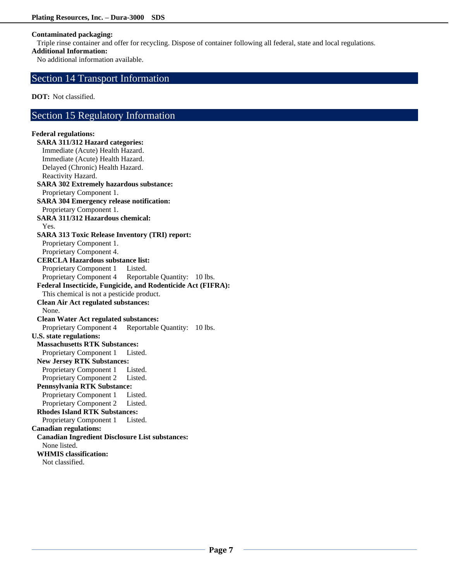### **Contaminated packaging:**

Triple rinse container and offer for recycling. Dispose of container following all federal, state and local regulations.

### **Additional Information:**

No additional information available.

# Section 14 Transport Information

**DOT:** Not classified.

# Section 15 Regulatory Information

### **Federal regulations: SARA 311/312 Hazard categories:**  Immediate (Acute) Health Hazard. Immediate (Acute) Health Hazard. Delayed (Chronic) Health Hazard. Reactivity Hazard. **SARA 302 Extremely hazardous substance:** Proprietary Component 1. **SARA 304 Emergency release notification:** Proprietary Component 1. **SARA 311/312 Hazardous chemical:** Yes. **SARA 313 Toxic Release Inventory (TRI) report:** Proprietary Component 1. Proprietary Component 4. **CERCLA Hazardous substance list:** Proprietary Component 1 Listed. Proprietary Component 4 Reportable Quantity: 10 lbs. **Federal Insecticide, Fungicide, and Rodenticide Act (FIFRA):** This chemical is not a pesticide product. **Clean Air Act regulated substances:** None. **Clean Water Act regulated substances:** Proprietary Component 4 Reportable Quantity: 10 lbs. **U.S. state regulations: Massachusetts RTK Substances:** Proprietary Component 1 Listed. **New Jersey RTK Substances:** Proprietary Component 1 Listed. Proprietary Component 2 Listed. **Pennsylvania RTK Substance:** Proprietary Component 1 Listed. Proprietary Component 2 Listed. **Rhodes Island RTK Substances:** Proprietary Component 1 Listed. **Canadian regulations: Canadian Ingredient Disclosure List substances:** None listed. **WHMIS classification:**